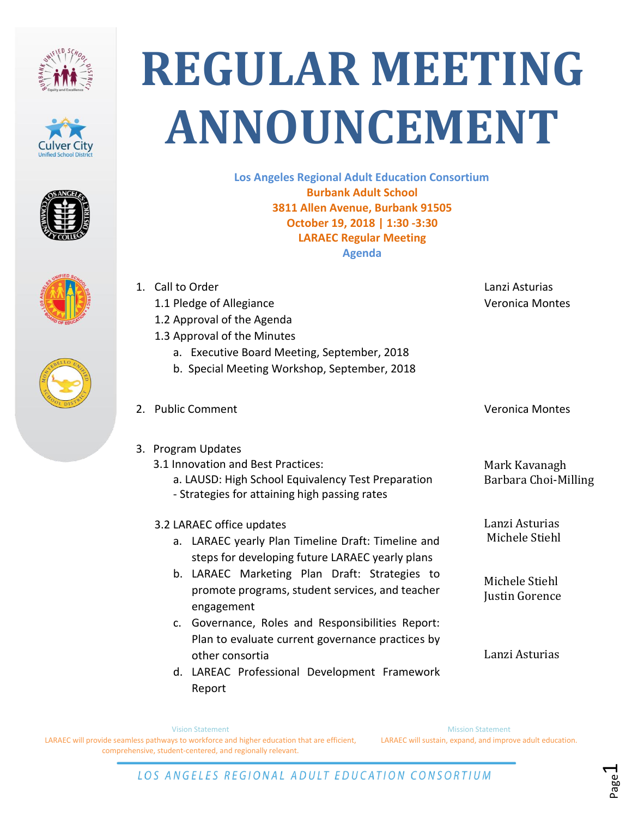











**Los Angeles Regional Adult Education Consortium Burbank Adult School 3811 Allen Avenue, Burbank 91505 October 19, 2018 | 1:30 -3:30 LARAEC Regular Meeting Agenda**

| 1. | Call to Order<br>1.1 Pledge of Allegiance<br>1.2 Approval of the Agenda<br>1.3 Approval of the Minutes<br>a. Executive Board Meeting, September, 2018<br>b. Special Meeting Workshop, September, 2018                                                   | Lanzi Asturias<br><b>Veronica Montes</b>                             |
|----|---------------------------------------------------------------------------------------------------------------------------------------------------------------------------------------------------------------------------------------------------------|----------------------------------------------------------------------|
|    | 2. Public Comment                                                                                                                                                                                                                                       | <b>Veronica Montes</b>                                               |
|    | 3. Program Updates<br>3.1 Innovation and Best Practices:<br>a. LAUSD: High School Equivalency Test Preparation<br>- Strategies for attaining high passing rates                                                                                         | Mark Kavanagh<br>Barbara Choi-Milling                                |
|    | 3.2 LARAEC office updates<br>LARAEC yearly Plan Timeline Draft: Timeline and<br>a.<br>steps for developing future LARAEC yearly plans<br>b. LARAEC Marketing Plan Draft: Strategies to<br>promote programs, student services, and teacher<br>engagement | Lanzi Asturias<br>Michele Stiehl<br>Michele Stiehl<br>Justin Gorence |
|    | Governance, Roles and Responsibilities Report:<br>$\mathsf{C}$ .<br>Plan to evaluate current governance practices by<br>other consortia<br>d. LAREAC Professional Development Framework                                                                 | Lanzi Asturias                                                       |

Report

Mission Statement

LARAEC will sustain, expand, and improve adult education.

Vision Statement

LARAEC will provide seamless pathways to workforce and higher education that are efficient, comprehensive, student-centered, and regionally relevant.

LOS ANGELES REGIONAL ADULT EDUCATION CONSORTIUM